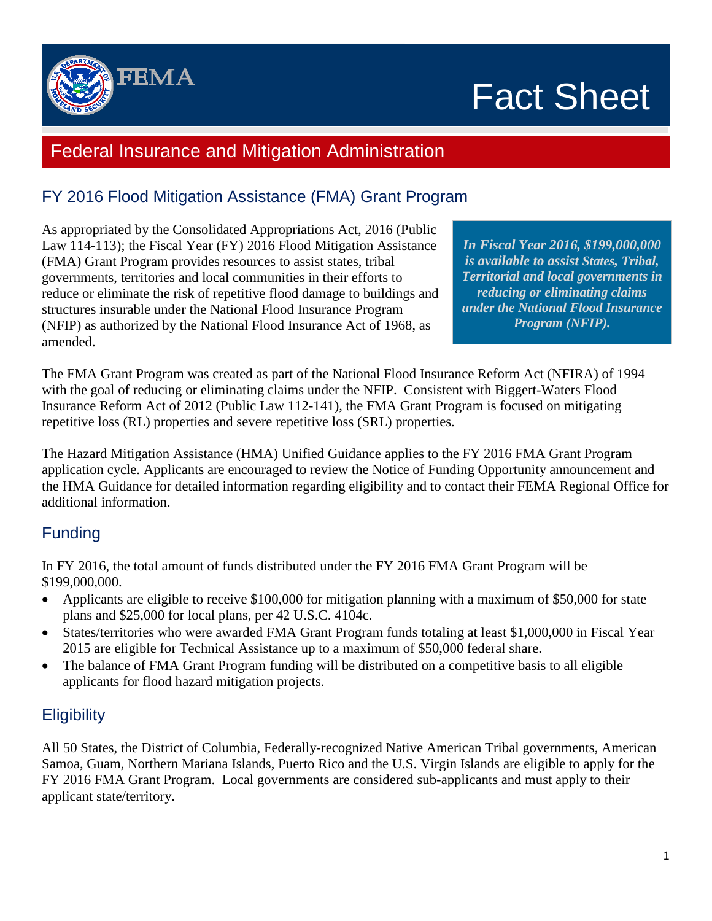

# Fact Sheet

## Federal Insurance and Mitigation Administration

### FY 2016 Flood Mitigation Assistance (FMA) Grant Program

As appropriated by the Consolidated Appropriations Act, 2016 (Public Law 114-113); the Fiscal Year (FY) 2016 Flood Mitigation Assistance (FMA) Grant Program provides resources to assist states, tribal governments, territories and local communities in their efforts to reduce or eliminate the risk of repetitive flood damage to buildings and structures insurable under the National Flood Insurance Program (NFIP) as authorized by the National Flood Insurance Act of 1968, as amended.

*In Fiscal Year 2016, \$199,000,000 is available to assist States, Tribal, Territorial and local governments in reducing or eliminating claims under the National Flood Insurance Program (NFIP).* 

The FMA Grant Program was created as part of the National Flood Insurance Reform Act (NFIRA) of 1994 with the goal of reducing or eliminating claims under the NFIP. Consistent with Biggert-Waters Flood Insurance Reform Act of 2012 (Public Law 112-141), the FMA Grant Program is focused on mitigating repetitive loss (RL) properties and severe repetitive loss (SRL) properties.

The Hazard Mitigation Assistance (HMA) Unified Guidance applies to the FY 2016 FMA Grant Program application cycle. Applicants are encouraged to review the Notice of Funding Opportunity announcement and the HMA Guidance for detailed information regarding eligibility and to contact their FEMA Regional Office for additional information.

#### Funding

In FY 2016, the total amount of funds distributed under the FY 2016 FMA Grant Program will be \$199,000,000.

- Applicants are eligible to receive \$100,000 for mitigation planning with a maximum of \$50,000 for state plans and \$25,000 for local plans, per 42 U.S.C. 4104c.
- States/territories who were awarded FMA Grant Program funds totaling at least \$1,000,000 in Fiscal Year 2015 are eligible for Technical Assistance up to a maximum of \$50,000 federal share.
- The balance of FMA Grant Program funding will be distributed on a competitive basis to all eligible applicants for flood hazard mitigation projects.

#### **Eligibility**

All 50 States, the District of Columbia, Federally-recognized Native American Tribal governments, American Samoa, Guam, Northern Mariana Islands, Puerto Rico and the U.S. Virgin Islands are eligible to apply for the FY 2016 FMA Grant Program. Local governments are considered sub-applicants and must apply to their applicant state/territory.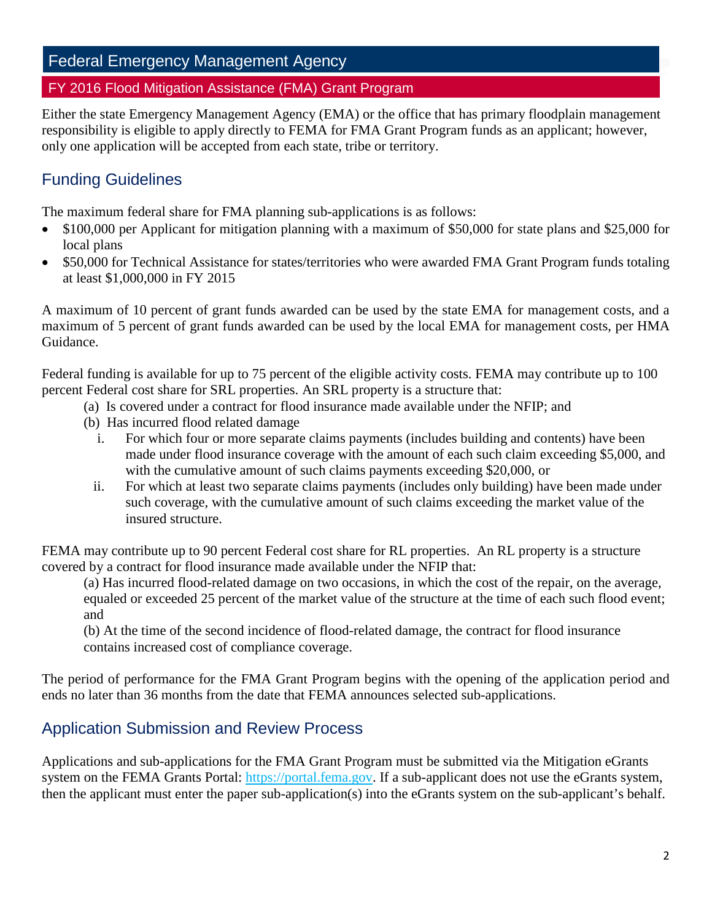## Federal Emergency Management Agency

#### FY 2016 Flood Mitigation Assistance (FMA) Grant Program

Either the state Emergency Management Agency (EMA) or the office that has primary floodplain management responsibility is eligible to apply directly to FEMA for FMA Grant Program funds as an applicant; however, only one application will be accepted from each state, tribe or territory.

#### Funding Guidelines

The maximum federal share for FMA planning sub-applications is as follows:

- \$100,000 per Applicant for mitigation planning with a maximum of \$50,000 for state plans and \$25,000 for local plans
- \$50,000 for Technical Assistance for states/territories who were awarded FMA Grant Program funds totaling at least \$1,000,000 in FY 2015

A maximum of 10 percent of grant funds awarded can be used by the state EMA for management costs, and a maximum of 5 percent of grant funds awarded can be used by the local EMA for management costs, per HMA Guidance.

Federal funding is available for up to 75 percent of the eligible activity costs. FEMA may contribute up to 100 percent Federal cost share for SRL properties. An SRL property is a structure that:

- (a) Is covered under a contract for flood insurance made available under the NFIP; and
- (b) Has incurred flood related damage
	- i. For which four or more separate claims payments (includes building and contents) have been made under flood insurance coverage with the amount of each such claim exceeding \$5,000, and with the cumulative amount of such claims payments exceeding \$20,000, or
	- ii. For which at least two separate claims payments (includes only building) have been made under such coverage, with the cumulative amount of such claims exceeding the market value of the insured structure.

FEMA may contribute up to 90 percent Federal cost share for RL properties. An RL property is a structure covered by a contract for flood insurance made available under the NFIP that:

(a) Has incurred flood-related damage on two occasions, in which the cost of the repair, on the average, equaled or exceeded 25 percent of the market value of the structure at the time of each such flood event; and

(b) At the time of the second incidence of flood-related damage, the contract for flood insurance contains increased cost of compliance coverage.

The period of performance for the FMA Grant Program begins with the opening of the application period and ends no later than 36 months from the date that FEMA announces selected sub-applications.

#### Application Submission and Review Process

Applications and sub-applications for the FMA Grant Program must be submitted via the Mitigation eGrants system on the FEMA Grants Portal: [https://portal.fema.gov.](https://portal.fema.gov/) If a sub-applicant does not use the eGrants system, then the applicant must enter the paper sub-application(s) into the eGrants system on the sub-applicant's behalf.